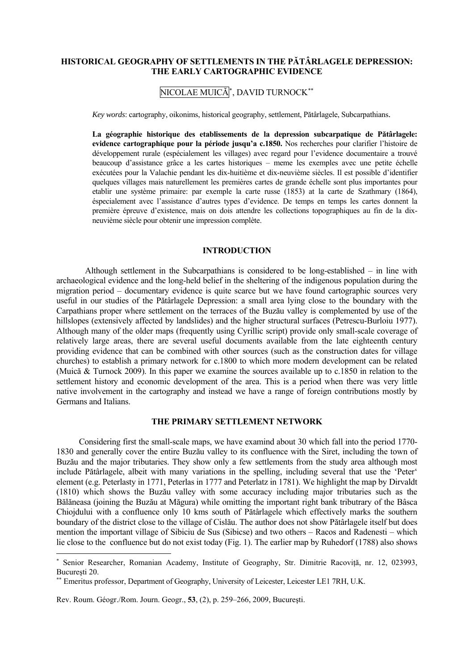## **HISTORICAL GEOGRAPHY OF SETTLEMENTS IN THE PĂTÂRLAGELE DEPRESSION: THE EARLY CARTOGRAPHIC EVIDENCE**

## NICOLAE MUICĂ[∗](#page-0-0) , DAVID TURNOCK[∗∗](#page-0-1)

*Key words*: cartography, oikonims, historical geography, settlement, Pătârlagele, Subcarpathians.

**La géographie historique des etablissements de la depression subcarpatique de Pătârlagele: evidence cartographique pour la période jusqu'a c.1850.** Nos recherches pour clarifier l'histoire de développement rurale (espécialement les villages) avec regard pour l'evidence documentaire a trouvé beaucoup d'assistance grâce a les cartes historiques – meme les exemples avec une petite échelle exécutées pour la Valachie pendant les dix-huitième et dix-neuvième siècles. Il est possible d'identifier quelques villages mais naturellement les premières cartes de grande échelle sont plus importantes pour etablir une système primaire: par exemple la carte russe (1853) at la carte de Szathmary (1864), éspecialement avec l'assistance d'autres types d'evidence. De temps en temps les cartes donnent la première épreuve d'existence, mais on dois attendre les collections topographiques au fin de la dixneuvième siècle pour obtenir une impression complète.

## **INTRODUCTION**

 Although settlement in the Subcarpathians is considered to be long-established – in line with archaeological evidence and the long-held belief in the sheltering of the indigenous population during the migration period – documentary evidence is quite scarce but we have found cartographic sources very useful in our studies of the Pătârlagele Depression: a small area lying close to the boundary with the Carpathians proper where settlement on the terraces of the Buzău valley is complemented by use of the hillslopes (extensively affected by landslides) and the higher structural surfaces (Petrescu-Burloiu 1977). Although many of the older maps (frequently using Cyrillic script) provide only small-scale coverage of relatively large areas, there are several useful documents available from the late eighteenth century providing evidence that can be combined with other sources (such as the construction dates for village churches) to establish a primary network for c.1800 to which more modern development can be related (Muică & Turnock 2009). In this paper we examine the sources available up to c.1850 in relation to the settlement history and economic development of the area. This is a period when there was very little native involvement in the cartography and instead we have a range of foreign contributions mostly by Germans and Italians.

## **THE PRIMARY SETTLEMENT NETWORK**

 Considering first the small-scale maps, we have examind about 30 which fall into the period 1770- 1830 and generally cover the entire Buzău valley to its confluence with the Siret, including the town of Buzău and the major tributaries. They show only a few settlements from the study area although most include Pătârlagele, albeit with many variations in the spelling, including several that use the 'Peter' element (e.g. Peterlasty in 1771, Peterlas in 1777 and Peterlatz in 1781). We highlight the map by Dirvaldt (1810) which shows the Buzău valley with some accuracy including major tributaries such as the Bălăneasa (joining the Buzău at Măgura) while omitting the important right bank tributrary of the Bâsca Chiojdului with a confluence only 10 kms south of Pătârlagele which effectively marks the southern boundary of the district close to the village of Cislău. The author does not show Pătârlagele itself but does mention the important village of Sibiciu de Sus (Sibicse) and two others – Racos and Radenesti – which lie close to the confluence but do not exist today (Fig. 1). The earlier map by Ruhedorf (1788) also shows

Rev. Roum. Géogr./Rom. Journ. Geogr., **53**, (2), p. 259–266, 2009, Bucureşti.

-

<span id="page-0-0"></span><sup>∗</sup> Senior Researcher, Romanian Academy, Institute of Geography, Str. Dimitrie Racovită, nr. 12, 023993, Bucureşti 20.

<span id="page-0-1"></span><sup>∗∗</sup> Emeritus professor, Department of Geography, University of Leicester, Leicester LE1 7RH, U.K.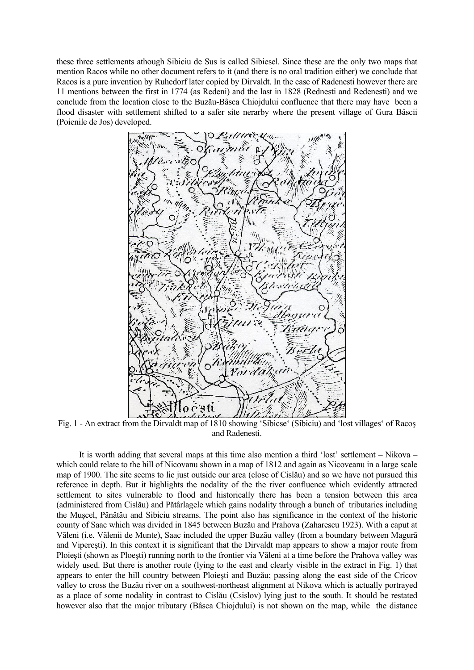these three settlements athough Sibiciu de Sus is called Sibiesel. Since these are the only two maps that mention Racos while no other document refers to it (and there is no oral tradition either) we conclude that Racos is a pure invention by Ruhedorf later copied by Dirvaldt. In the case of Radenesti however there are 11 mentions between the first in 1774 (as Redeni) and the last in 1828 (Rednesti and Redenesti) and we conclude from the location close to the Buzău-Bâsca Chiojdului confluence that there may have been a flood disaster with settlement shifted to a safer site nerarby where the present village of Gura Bâscii (Poienile de Jos) developed.



Fig. 1 - An extract from the Dirvaldt map of 1810 showing 'Sibicse' (Sibiciu) and 'lost villages' of Racoş and Radenesti.

 It is worth adding that several maps at this time also mention a third 'lost' settlement – Nikova – which could relate to the hill of Nicovanu shown in a map of 1812 and again as Nicoveanu in a large scale map of 1900. The site seems to lie just outside our area (close of Cislău) and so we have not pursued this reference in depth. But it highlights the nodality of the the river confluence which evidently attracted settlement to sites vulnerable to flood and historically there has been a tension between this area (administered from Cislău) and Pătârlagele which gains nodality through a bunch of tributaries including the Muşcel, Pănătău and Sibiciu streams. The point also has significance in the context of the historic county of Saac which was divided in 1845 between Buzău and Prahova (Zaharescu 1923). With a caput at Văleni (i.e. Vălenii de Munte), Saac included the upper Buzău valley (from a boundary between Magură and Vipereşti). In this context it is significant that the Dirvaldt map appears to show a major route from Ploieşti (shown as Ploeşti) running north to the frontier via Văleni at a time before the Prahova valley was widely used. But there is another route (lying to the east and clearly visible in the extract in Fig. 1) that appears to enter the hill country between Ploieşti and Buzău; passing along the east side of the Cricov valley to cross the Buzău river on a southwest-northeast alignment at Nikova which is actually portrayed as a place of some nodality in contrast to Cislău (Csislov) lying just to the south. It should be restated however also that the major tributary (Bâsca Chiojdului) is not shown on the map, while the distance